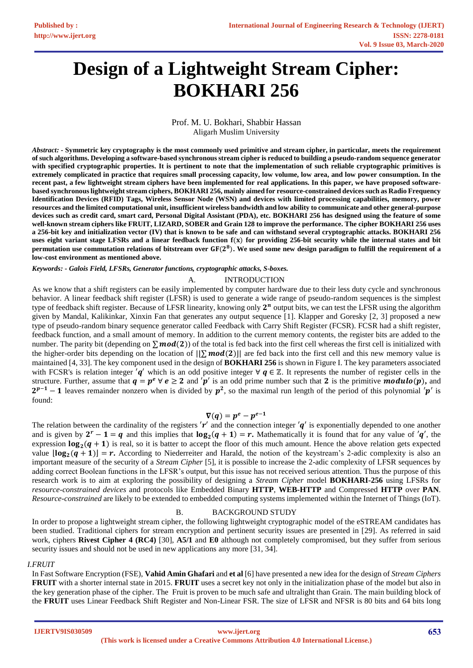# **Design of a Lightweight Stream Cipher: BOKHARI 256**

#### Prof. M. U. Bokhari, Shabbir Hassan Aligarh Muslim University

*Abstract: -* **Symmetric key cryptography is the most commonly used primitive and stream cipher, in particular, meets the requirement of such algorithms. Developing a software-based synchronous stream cipher is reduced to building a pseudo-random sequence generator with specified cryptographic properties. It is pertinent to note that the implementation of such reliable cryptographic primitives is extremely complicated in practice that requires small processing capacity, low volume, low area, and low power consumption. In the recent past, a few lightweight stream ciphers have been implemented for real applications. In this paper, we have proposed softwarebased synchronous lightweight stream ciphers, BOKHARI 256, mainly aimed for resource-constrained devices such as Radio Frequency Identification Devices (RFID) Tags, Wireless Sensor Node (WSN) and devices with limited processing capabilities, memory, power resources and the limited computational unit, insufficient wireless bandwidth and low ability to communicate and other general-purpose devices such as credit card, smart card, Personal Digital Assistant (PDA), etc. BOKHARI 256 has designed using the feature of some well-known stream ciphers like FRUIT, LIZARD, SOBER and Grain 128 to improve the performance. The cipher BOKHARI 256 uses a 256-bit key and initialization vector (IV) that is known to be safe and can withstand several cryptographic attacks. BOKHARI 256**  uses eight variant stage LFSRs and a linear feedback function  $f(x)$  for providing 256-bit security while the internal states and bit **permutation use commutation relations of bitstream over** ( )**. We used some new design paradigm to fulfill the requirement of a low-cost environment as mentioned above.**

*Keywords: - Galois Field, LFSRs, Generator functions, cryptographic attacks, S-boxes.*

#### A. INTRODUCTION

As we know that a shift registers can be easily implemented by computer hardware due to their less duty cycle and synchronous behavior. A linear feedback shift register (LFSR) is used to generate a wide range of pseudo-random sequences is the simplest type of feedback shift register. Because of LFSR linearity, knowing only  $2^n$  output bits, we can test the LFSR using the algorithm given by Mandal, Kalikinkar, Xinxin Fan that generates any output sequence [1]. Klapper and Goresky [2, 3] proposed a new type of pseudo-random binary sequence generator called Feedback with Carry Shift Register (FCSR). FCSR had a shift register, feedback function, and a small amount of memory. In addition to the current memory contents, the register bits are added to the number. The parity bit (depending on  $\sum \text{mod}(2)$ ) of the total is fed back into the first cell whereas the first cell is initialized with the higher-order bits depending on the location of  $||\sum mod(2)||$  are fed back into the first cell and this new memory value is maintained [4, 33]. The key component used in the design of **BOKHARI 256** is shown in Figure I. The key parameters associated with FCSR's is relation integer  $'q'$  which is an odd positive integer  $\forall q \in \mathbb{Z}$ . It represents the number of register cells in the structure. Further, assume that  $q = p^e \forall e \ge 2$  and 'p' is an odd prime number such that 2 is the primitive **modulo**(p), and  $2^{p-1}-1$  leaves remainder nonzero when is divided by  $p^2$ , so the maximal run length of the period of this polynomial 'p' is found:

#### $\nabla(q) = p^e - p^{e-1}$

The relation between the cardinality of the registers  $'\mathbf{r}'$  and the connection integer  $'\mathbf{q}'$  is exponentially depended to one another and is given by  $2^r - 1 = q$  and this implies that  $log_2(q + 1) = r$ . Mathematically it is found that for any value of 'q', the expression  $\log_2(q + 1)$  is real, so it is batter to accept the floor of this much amount. Hence the above relation gets expected value  $|\log_2(q+1)| = r$ . According to Niederreiter and Harald, the notion of the keystream's 2-adic complexity is also an important measure of the security of a *Stream Cipher* [5], it is possible to increase the 2-adic complexity of LFSR sequences by adding correct Boolean functions in the LFSR's output, but this issue has not received serious attention. Thus the purpose of this research work is to aim at exploring the possibility of designing a *Stream Cipher* model **BOKHARI-256** using LFSRs for *resource-constrained devices* and protocols like Embedded Binary **HTTP**, **WEB-HTTP** and Compressed **HTTP** over **PAN**. *Resource-constrained* are likely to be extended to embedded computing systems implemented within the Internet of Things (IoT).

# B. BACKGROUND STUDY

In order to propose a lightweight stream cipher, the following lightweight cryptographic model of the eSTREAM candidates has been studied. Traditional ciphers for stream encryption and pertinent security issues are presented in [29]. As referred in said work, ciphers **Rivest Cipher 4 (RC4)** [30], **A5/1** and **E0** although not completely compromised, but they suffer from serious security issues and should not be used in new applications any more [31, 34].

#### *I.FRUIT*

In Fast Software Encryption (FSE), **Vahid Amin Ghafari** and **et al** [6] have presented a new idea for the design of *Stream Ciphers* **FRUIT** with a shorter internal state in 2015. **FRUIT** uses a secret key not only in the initialization phase of the model but also in the key generation phase of the cipher. The Fruit is proven to be much safe and ultralight than Grain. The main building block of the **FRUIT** uses Linear Feedback Shift Register and Non-Linear FSR. The size of LFSR and NFSR is 80 bits and 64 bits long

**IJERTV9IS030509**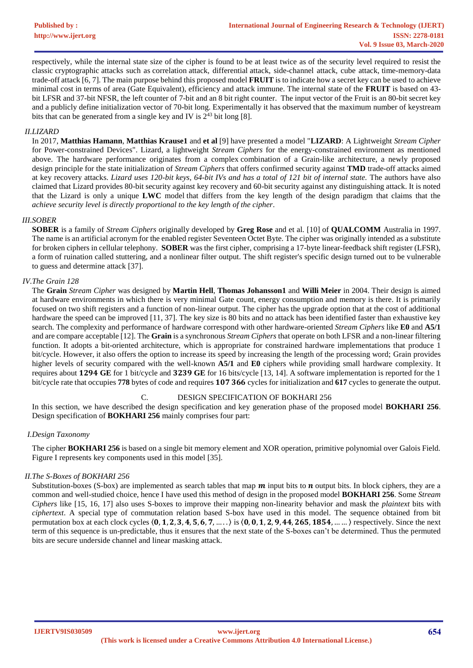respectively, while the internal state size of the cipher is found to be at least twice as of the security level required to resist the classic cryptographic attacks such as correlation attack, differential attack, side-channel attack, cube attack, time-memory-data trade-off attack [6, 7]. The main purpose behind this proposed model **FRUIT** is to indicate how a secret key can be used to achieve minimal cost in terms of area (Gate Equivalent), efficiency and attack immune. The internal state of the **FRUIT** is based on 43 bit LFSR and 37-bit NFSR, the left counter of 7-bit and an 8 bit right counter. The input vector of the Fruit is an 80-bit secret key and a publicly define initialization vector of 70-bit long. Experimentally it has observed that the maximum number of keystream bits that can be generated from a single key and IV is  $2^{43}$  bit long [8].

#### *II.LIZARD*

In 2017, **Matthias Hamann**, **Matthias Krause1** and **et al** [9] have presented a model "**LIZARD**: A Lightweight *Stream Cipher* for Power-constrained Devices". Lizard, a lightweight *Stream Ciphers* for the energy-constrained environment as mentioned above. The hardware performance originates from a complex combination of a Grain-like architecture, a newly proposed design principle for the state initialization of *Stream Ciphers* that offers confirmed security against **TMD** trade-off attacks aimed at key recovery attacks. *Lizard uses 120-bit keys, 64-bit IVs and has a total of 121 bit of internal state.* The authors have also claimed that Lizard provides 80-bit security against key recovery and 60-bit security against any distinguishing attack. It is noted that the Lizard is only a unique **LWC** model that differs from the key length of the design paradigm that claims that the *achieve security level is directly proportional to the key length of the cipher*.

#### *III.SOBER*

**SOBER** is a family of *Stream Ciphers* originally developed by **Greg Rose** and et al. [10] of **QUALCOMM** Australia in 1997. The name is an artificial acronym for the enabled register Seventeen Octet Byte. The cipher was originally intended as a substitute for broken ciphers in cellular telephony. **SOBER** was the first cipher, comprising a 17-byte linear-feedback shift register (LFSR), a form of ruination called stuttering, and a nonlinear filter output. The shift register's specific design turned out to be vulnerable to guess and determine attack [37].

#### *IV.The Grain 128*

The **Grain** *Stream Cipher* was designed by **Martin Hell**, **Thomas Johansson1** and **Willi Meier** in 2004. Their design is aimed at hardware environments in which there is very minimal Gate count, energy consumption and memory is there. It is primarily focused on two shift registers and a function of non-linear output. The cipher has the upgrade option that at the cost of additional hardware the speed can be improved [11, 37]. The key size is 80 bits and no attack has been identified faster than exhaustive key search. The complexity and performance of hardware correspond with other hardware-oriented *Stream Ciphers* like **E0** and **A5/1** and are compare acceptable [12]. The **Grain** is a synchronous *Stream Ciphers* that operate on both LFSR and a non-linear filtering function. It adopts a bit-oriented architecture, which is appropriate for constrained hardware implementations that produce 1 bit/cycle. However, it also offers the option to increase its speed by increasing the length of the processing word; Grain provides higher levels of security compared with the well-known **A5/1** and **E0** ciphers while providing small hardware complexity. It requires about **GE** for 1 bit/cycle and **GE** for 16 bits/cycle [13, 14]. A software implementation is reported for the 1 bit/cycle rate that occupies 778 bytes of code and requires 107 366 cycles for initialization and 617 cycles to generate the output.

#### C. DESIGN SPECIFICATION OF BOKHARI 256

In this section, we have described the design specification and key generation phase of the proposed model **BOKHARI 256**. Design specification of **BOKHARI 256** mainly comprises four part:

#### *I.Design Taxonomy*

The cipher **BOKHARI 256** is based on a single bit memory element and XOR operation, primitive polynomial over Galois Field. Figure I represents key components used in this model [35].

#### *II.The S-Boxes of BOKHARI 256*

Substitution-boxes (S-box) are implemented as search tables that map  $m$  input bits to  $n$  output bits. In block ciphers, they are a common and well-studied choice, hence I have used this method of design in the proposed model **BOKHARI 256**. Some *Stream Ciphers* like [15, 16, 17] also uses S-boxes to improve their mapping non-linearity behavior and mask the *plaintext* bits with *ciphertext*. A special type of commutation relation based S-box have used in this model. The sequence obtained from bit permutation box at each clock cycles  $(0, 1, 2, 3, 4, 5, 6, 7, \ldots)$  is  $(0, 0, 1, 2, 9, 44, 265, 1854, \ldots)$  respectively. Since the next term of this sequence is un-predictable, thus it ensures that the next state of the S-boxes can't be determined. Thus the permuted bits are secure underside channel and linear masking attack.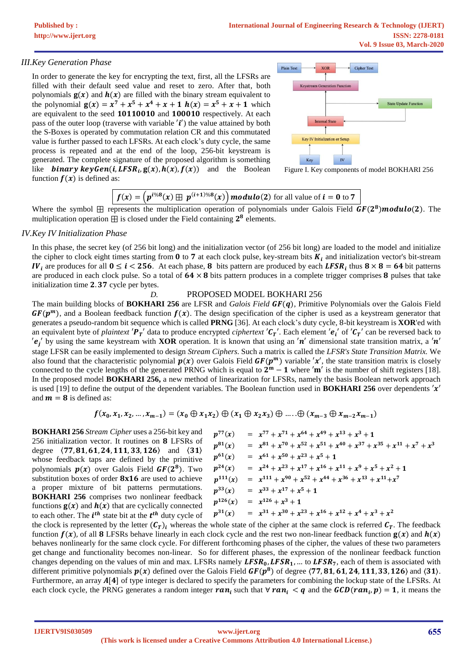# *III.Key Generation Phase*

In order to generate the key for encrypting the text, first, all the LFSRs are filled with their default seed value and reset to zero. After that, both polynomials  $g(x)$  and  $h(x)$  are filled with the binary stream equivalent to the polynomial  $g(x) = x^7 + x^5 + x^4 + x + 1$   $h(x) = x^5 + x + 1$  which are equivalent to the seed 10110010 and 100010 respectively. At each pass of the outer loop (traverse with variable  $'i'$ ) the value attained by both the S-Boxes is operated by commutation relation CR and this commutated value is further passed to each LFSRs. At each clock's duty cycle, the same process is repeated and at the end of the loop, 256-bit keystream is generated. The complete signature of the proposed algorithm is something like **binary keyGen(i, LFSR<sub>i</sub>, g(x), h(x), f(x))** and the Boolean function  $f(x)$  is defined as:



Figure I. Key components of model BOKHARI 256

$$
f(x) = (p^{i\%8}(x) \boxplus p^{(i+1)\%8}(x)) \text{ modulo (2) for all value of } i = 0 \text{ to } 7
$$

Where the symbol  $\boxplus$  represents the multiplication operation of polynomials under Galois Field  $GF(2^8) modulo(2)$ . The multiplication operation  $\boxplus$  is closed under the Field containing  $2^8$  elements.

# *IV.Key IV Initialization Phase*

In this phase, the secret key (of 256 bit long) and the initialization vector (of 256 bit long) are loaded to the model and initialize the cipher to clock eight times starting from  $0$  to 7 at each clock pulse, key-stream bits  $K_i$  and initialization vector's bit-stream IV<sub>i</sub> are produces for all  $0 \le i < 256$ . At each phase, 8 bits pattern are produced by each LFSR<sub>i</sub> thus  $8 \times 8 = 64$  bit patterns are produced in each clock pulse. So a total of  $64 \times 8$  bits pattern produces in a complete trigger comprises 8 pulses that take initialization time 2.37 cycle per bytes.

### *D.* PROPOSED MODEL BOKHARI 256

The main building blocks of **BOKHARI 256** are LFSR and *Galois Field* (), Primitive Polynomials over the Galois Field  $GF(p^m)$ , and a Boolean feedback function  $f(x)$ . The design specification of the cipher is used as a keystream generator that generates a pseudo-random bit sequence which is called **PRNG** [36]. At each clock's duty cycle, 8-bit keystream is **XOR**'ed with an equivalent byte of *plaintext 'P<sub>T</sub>'* data to produce encrypted *ciphertext 'C<sub>T</sub>'*. Each element *'e<sub>i</sub>'* of '*C<sub>T</sub>'* can be reversed back to  $'e_j$  by using the same keystream with **XOR** operation. It is known that using an 'n' dimensional state transition matrix, a 'n' stage LFSR can be easily implemented to design *Stream Ciphers*. Such a matrix is called the *LFSR's State Transition Matrix.* We also found that the characteristic polynomial  $p(x)$  over Galois Field  $GF(p^m)$  variable 'x', the state transition matrix is closely connected to the cycle lengths of the generated PRNG which is equal to  $2^m - 1$  where  $'m'$  is the number of shift registers [18]. In the proposed model **BOKHARI 256,** a new method of linearization for LFSRs, namely the basis Boolean network approach is used [19] to define the output of the dependent variables. The Boolean function used in **BOKHARI 256** over dependents  $'x'$ and  $m = 8$  is defined as:

$$
f(x_0, x_1, x_2, ..., x_{m-1}) = (x_0 \oplus x_1 x_2) \oplus (x_1 \oplus x_2 x_3) \oplus .... \oplus (x_{m-3} \oplus x_{m-2} x_{m-1})
$$

**BOKHARI 256** *Stream Cipher* uses a 256-bit key and 256 initialization vector. It routines on 8 LFSRs of degree  $(77, 81, 61, 24, 111, 33, 126)$  and  $(31)$ whose feedback taps are defined by the primitive polynomials  $p(x)$  over Galois Field  $GF(2^8)$ . Two substitution boxes of order  $8x16$  are used to achieve a proper mixture of bit patterns permutations. **BOKHARI 256** comprises two nonlinear feedback functions  $g(x)$  and  $h(x)$  that are cyclically connected to each other. The  $i^{th}$  state bit at the  $t^{th}$  duty cycle of  $\boldsymbol{p}$  $77(x) = x$  $\boldsymbol{p}$  $x^{81}(x) = x$  $\boldsymbol{p}$  $61(x) = x$  $\boldsymbol{p}$  $24(x) = x$  $\boldsymbol{p}$  $x^{111}(x) = x$  $\boldsymbol{p}$  $33(x) = x$  $\boldsymbol{p}$  $126(x) = x$  $\boldsymbol{p}$  $31(x) = x$ 

$$
p^{77}(x) = x^{77} + x^{71} + x^{64} + x^{49} + x^{13} + x^3 + 1
$$
  
\n
$$
p^{81}(x) = x^{81} + x^{70} + x^{52} + x^{51} + x^{40} + x^{37} + x^{35} + x^{11} + x^7 + x^{3}
$$
  
\n
$$
p^{61}(x) = x^{61} + x^{50} + x^{23} + x^5 + 1
$$
  
\n
$$
p^{24}(x) = x^{24} + x^{23} + x^{17} + x^{16} + x^{11} + x^9 + x^5 + x^2 + 1
$$
  
\n
$$
p^{111}(x) = x^{111} + x^{90} + x^{52} + x^{44} + x^{36} + x^{13} + x^{11} + x^7
$$
  
\n
$$
p^{33}(x) = x^{33} + x^{17} + x^5 + 1
$$
  
\n
$$
p^{126}(x) = x^{126} + x^3 + 1
$$
  
\n
$$
p^{31}(x) = x^{31} + x^{30} + x^{23} + x^{16} + x^{12} + x^4 + x^3 + x^2
$$

the clock is represented by the letter  $(C_T)_i$  whereas the whole state of the cipher at the same clock is referred  $C_T$ . The feedback function  $f(x)$ , of all **8** LFSRs behave linearly in each clock cycle and the rest two non-linear feedback function  $g(x)$  and  $h(x)$ behaves nonlinearly for the same clock cycle. For different forthcoming phases of the cipher, the values of these two parameters get change and functionality becomes non-linear. So for different phases, the expression of the nonlinear feedback function changes depending on the values of min and max. LFSRs namely  $LFSR_0, LFSR_1, ...$  to  $LFSR_7$ , each of them is associated with different primitive polynomials  $p(x)$  defined over the Galois Field  $GF(p^8)$  of degree  $\langle 77, 81, 61, 24, 111, 33, 126 \rangle$  and  $\langle 31 \rangle$ . Furthermore, an array  $A[4]$  of type integer is declared to specify the parameters for combining the lockup state of the LFSRs. At each clock cycle, the PRNG generates a random integer  $ran_i$  such that ∀  $ran_i < q$  and the  $GCD(ran_i, p) = 1$ , it means the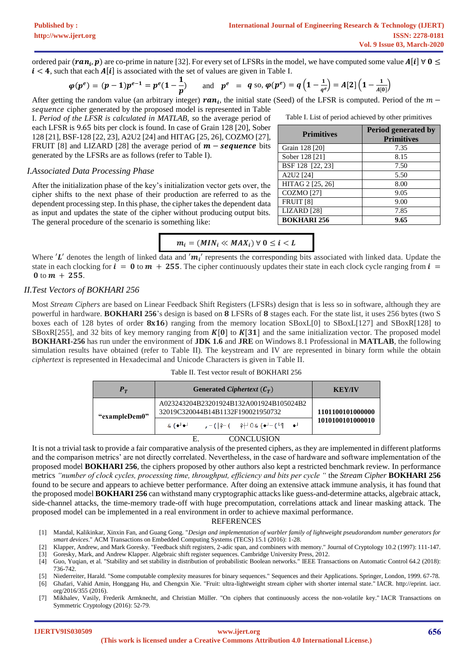ordered pair  $(ran_i, p)$  are co-prime in nature [32]. For every set of LFSRs in the model, we have computed some value  $A[i] \forall 0 \leq j$  $i < 4$ , such that each  $A[i]$  is associated with the set of values are given in Table I.

$$
\varphi(p^e) = (p-1)p^{e-1} = p^e(1-\frac{1}{p})
$$
 and  $p^e = q$  so,  $\varphi(p^e) = q(1-\frac{1}{q^e}) = A[2](1-\frac{1}{A[0]})$ 

After getting the random value (an arbitrary integer)  $ran_i$ , the initial state (Seed) of the LFSR is computed. Period of the  $m$ sequence cipher generated by the proposed model is represented in Table

I. *Period of the LFSR is calculated in MATLAB, s*o the average period of each LFSR is 9.65 bits per clock is found. In case of Grain 128 [20], Sober 128 [21], BSF-128 [22, 23], A2U2 [24] and HITAG [25, 26], COZMO [27], FRUIT [8] and LIZARD [28] the average period of  $m$  – sequence bits generated by the LFSRs are as follows (refer to Table I).

#### *I.Associated Data Processing Phase*

After the initialization phase of the key's initialization vector gets over, the cipher shifts to the next phase of their production are referred to as the dependent processing step. In this phase, the cipher takes the dependent data as input and updates the state of the cipher without producing output bits. The general procedure of the scenario is something like:

$$
m_i = (MIN_i \ll MAX_i) \; \forall \; 0 \leq i < L
$$

Where 'L' denotes the length of linked data and ' $m_i$ ' represents the corresponding bits associated with linked data. Update the state in each clocking for  $\mathbf{i} = \mathbf{0}$  to  $\mathbf{m} + 255$ . The cipher continuously updates their state in each clock cycle ranging from  $\mathbf{i} =$ 0 to  $m + 255$ .

# *II.Test Vectors of BOKHARI 256*

Most *Stream Ciphers* are based on Linear Feedback Shift Registers (LFSRs) design that is less so in software, although they are powerful in hardware. **BOKHARI 256**'s design is based on **8** LFSRs of **8** stages each. For the state list, it uses 256 bytes (two S boxes each of 128 bytes of order  $8x16$ ) ranging from the memory location SBoxL[0] to SBoxL[127] and SBoxR[128] to SBoxR[255], and 32 bits of key memory ranging from  $K[0]$  to  $K[31]$  and the same initialization vector. The proposed model **BOKHARI-256** has run under the environment of **JDK 1.6** and **JRE** on Windows 8.1 Professional in **MATLAB**, the following simulation results have obtained (refer to Table II). The keystream and IV are represented in binary form while the obtain *ciphertext* is represented in Hexadecimal and Unicode Characters is given in Table II.

#### Table II. Test vector result of BOKHARI 256

| $\bm{P}_{\bm{T}}$ | Generated Ciphertext $(C_T)$                                                 | <b>KEY/IV</b>    |
|-------------------|------------------------------------------------------------------------------|------------------|
| "exampleDem0"     | A023243204B23201924B132A001924B105024B2<br>32019C320044B14B1132F190021950732 | 1101100101000000 |
|                   | -( ♀–( ♀–+)Q (●-)—(└¶ ●-)<br>& (ასა⊥                                         | 1010100101000010 |

#### E. CONCLUSION

It is not a trivial task to provide a fair comparative analysis of the presented ciphers, as they are implemented in different platforms and the comparison metrics' are not directly correlated. Nevertheless, in the case of hardware and software implementation of the proposed model **BOKHARI 256**, the ciphers proposed by other authors also kept a restricted benchmark review. In performance metrics *"number of clock cycles, processing time, throughput, efficiency and bits per cycle "* the *Stream Cipher* **BOKHARI 256** found to be secure and appears to achieve better performance. After doing an extensive attack immune analysis, it has found that the proposed model **BOKHARI 256** can withstand many cryptographic attacks like guess-and-determine attacks, algebraic attack, side-channel attacks, the time-memory trade-off with huge precomputation, correlations attack and linear masking attack. The proposed model can be implemented in a real environment in order to achieve maximal performance.

#### REFERENCES

- [1] Mandal, Kalikinkar, Xinxin Fan, and Guang Gong. "*Design and implementation of warbler family of lightweight pseudorandom number generators for smart devices*." ACM Transactions on Embedded Computing Systems (TECS) 15.1 (2016): 1-28.
- [2] Klapper, Andrew, and Mark Goresky. "Feedback shift registers, 2-adic span, and combiners with memory." Journal of Cryptology 10.2 (1997): 111-147. [3] Goresky, Mark, and Andrew Klapper. Algebraic shift register sequences. Cambridge University Press, 2012.
- [4] Guo, Yuqian, et al. "Stability and set stability in distribution of probabilistic Boolean networks." IEEE Transactions on Automatic Control 64.2 (2018): 736-742.
- [5] Niederreiter, Harald. "Some computable complexity measures for binary sequences." Sequences and their Applications. Springer, London, 1999. 67-78.
- [6] Ghafari, Vahid Amin, Honggang Hu, and Chengxin Xie. "Fruit: ultra-lightweight stream cipher with shorter internal state." IACR. http://eprint. iacr. org/2016/355 (2016).
- [7] Mikhalev, Vasily, Frederik Armknecht, and Christian Müller. "On ciphers that continuously access the non-volatile key." IACR Transactions on Symmetric Cryptology (2016): 52-79.

Table I. List of period achieved by other primitives

| <b>Primitives</b>      | Period generated by<br><b>Primitives</b> |
|------------------------|------------------------------------------|
| Grain 128 [20]         | 7.35                                     |
| Sober 128 [21]         | 8.15                                     |
| BSF 128 [22, 23]       | 7.50                                     |
| A2U2 [24]              | 5.50                                     |
| HITAG 2 [25, 26]       | 8.00                                     |
| <b>COZMO</b> [27]      | 9.05                                     |
| FRUIT <sub>[8]</sub>   | 9.00                                     |
| LIZARD <sup>[28]</sup> | 7.85                                     |
| <b>BOKHARI 256</b>     | 9.65                                     |